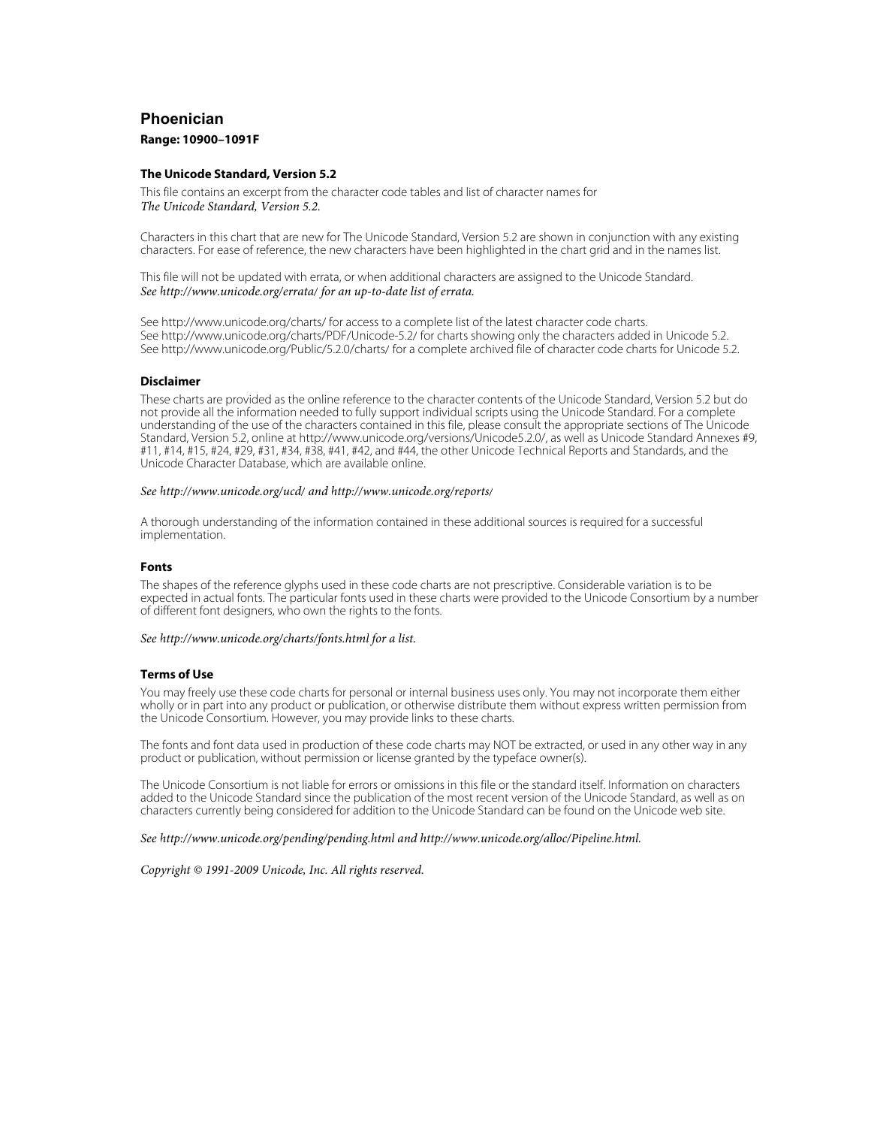# **Phoenician**

# **Range: 10900–1091F**

## **The Unicode Standard, Version 5.2**

This file contains an excerpt from the character code tables and list of character names for The Unicode Standard, Version 5.2.

Characters in this chart that are new for The Unicode Standard, Version 5.2 are shown in conjunction with any existing characters. For ease of reference, the new characters have been highlighted in the chart grid and in the names list.

This file will not be updated with errata, or when additional characters are assigned to the Unicode Standard. See<http://www.unicode.org/errata/>for an up-to-date list of errata.

See <http://www.unicode.org/charts/> for access to a complete list of the latest character code charts. See <http://www.unicode.org/charts/PDF/Unicode-5.2/>for charts showing only the characters added in Unicode 5.2. See <http://www.unicode.org/Public/5.2.0/charts/> for a complete archived file of character code charts for Unicode 5.2.

## **Disclaimer**

These charts are provided as the online reference to the character contents of the Unicode Standard, Version 5.2 but do not provide all the information needed to fully support individual scripts using the Unicode Standard. For a complete understanding of the use of the characters contained in this file, please consult the appropriate sections of The Unicode Standard, Version 5.2, online at [http://www.unicode.org/versions/Unicode5.2.0/,](http://www.unicode.org/versions/Unicode5.2.0/) as well as Unicode Standard Annexes #9, #11, #14, #15, #24, #29, #31, #34, #38, #41, #42, and #44, the other Unicode Technical Reports and Standards, and the Unicode Character Database, which are available online.

#### See<http://www.unicode.org/ucd/>and <http://www.unicode.org/reports/>

A thorough understanding of the information contained in these additional sources is required for a successful implementation.

## **Fonts**

The shapes of the reference glyphs used in these code charts are not prescriptive. Considerable variation is to be expected in actual fonts. The particular fonts used in these charts were provided to the Unicode Consortium by a number of different font designers, who own the rights to the fonts.

## See<http://www.unicode.org/charts/fonts.html>for a list.

# **Terms of Use**

You may freely use these code charts for personal or internal business uses only. You may not incorporate them either wholly or in part into any product or publication, or otherwise distribute them without express written permission from the Unicode Consortium. However, you may provide links to these charts.

The fonts and font data used in production of these code charts may NOT be extracted, or used in any other way in any product or publication, without permission or license granted by the typeface owner(s).

The Unicode Consortium is not liable for errors or omissions in this file or the standard itself. Information on characters added to the Unicode Standard since the publication of the most recent version of the Unicode Standard, as well as on characters currently being considered for addition to the Unicode Standard can be found on the Unicode web site.

See<http://www.unicode.org/pending/pending.html> and [http://www.unicode.org/alloc/Pipeline.html.](http://www.unicode.org/alloc/Pipeline.html)

Copyright © 1991-2009 Unicode, Inc. All rights reserved.